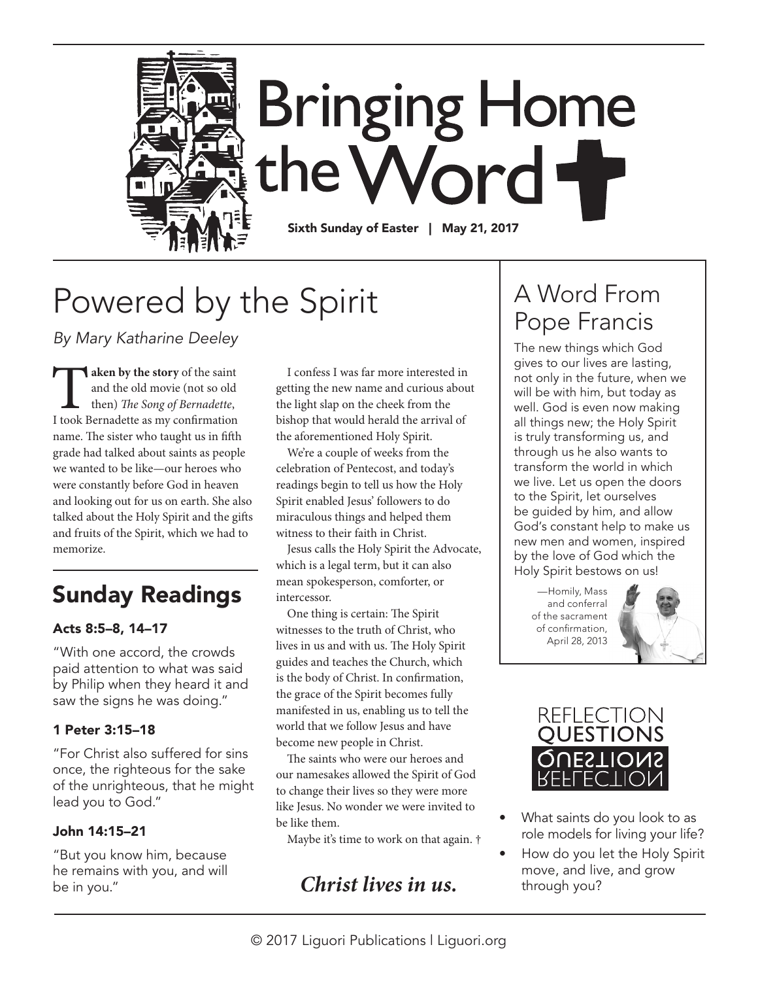

# Powered by the Spirit

*By Mary Katharine Deeley* 

**Taken by the story** of the saint<br>and the old movie (not so old<br>then) *The Song of Bernadette*,<br>I took Bernadette as my confirmation and the old movie (not so old then) *The Song of Bernadette*, name. The sister who taught us in fifth grade had talked about saints as people we wanted to be like—our heroes who were constantly before God in heaven and looking out for us on earth. She also talked about the Holy Spirit and the gifts and fruits of the Spirit, which we had to memorize.

## Sunday Readings

#### Acts 8:5–8, 14–17

"With one accord, the crowds paid attention to what was said by Philip when they heard it and saw the signs he was doing."

#### 1 Peter 3:15–18

"For Christ also suffered for sins once, the righteous for the sake of the unrighteous, that he might lead you to God."

#### John 14:15–21

"But you know him, because he remains with you, and will be in you."

I confess I was far more interested in getting the new name and curious about the light slap on the cheek from the bishop that would herald the arrival of the aforementioned Holy Spirit.

We're a couple of weeks from the celebration of Pentecost, and today's readings begin to tell us how the Holy Spirit enabled Jesus' followers to do miraculous things and helped them witness to their faith in Christ.

Jesus calls the Holy Spirit the Advocate, which is a legal term, but it can also mean spokesperson, comforter, or intercessor.

One thing is certain: The Spirit witnesses to the truth of Christ, who lives in us and with us. The Holy Spirit guides and teaches the Church, which is the body of Christ. In confirmation, the grace of the Spirit becomes fully manifested in us, enabling us to tell the world that we follow Jesus and have become new people in Christ.

The saints who were our heroes and our namesakes allowed the Spirit of God to change their lives so they were more like Jesus. No wonder we were invited to be like them.

Maybe it's time to work on that again. †

### *Christ lives in us.*

### A Word From Pope Francis

The new things which God gives to our lives are lasting, not only in the future, when we will be with him, but today as well. God is even now making all things new; the Holy Spirit is truly transforming us, and through us he also wants to transform the world in which we live. Let us open the doors to the Spirit, let ourselves be guided by him, and allow God's constant help to make us new men and women, inspired by the love of God which the Holy Spirit bestows on us!

—Homily, Mass and conferral of the sacrament of confirmation, April 28, 2013





- What saints do you look to as role models for living your life?
	- How do you let the Holy Spirit move, and live, and grow through you?